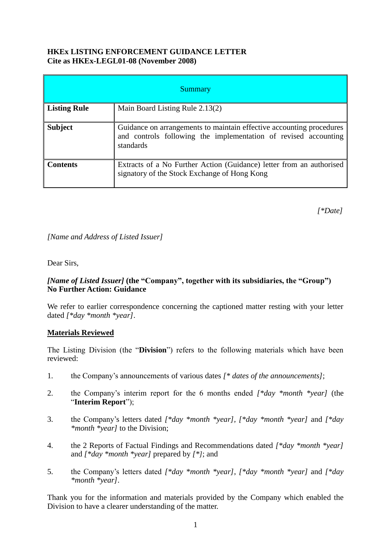#### **HKEx LISTING ENFORCEMENT GUIDANCE LETTER Cite as HKEx-LEGL01-08 (November 2008)**

| <b>Summary</b>      |                                                                                                                                                      |
|---------------------|------------------------------------------------------------------------------------------------------------------------------------------------------|
| <b>Listing Rule</b> | Main Board Listing Rule 2.13(2)                                                                                                                      |
| <b>Subject</b>      | Guidance on arrangements to maintain effective accounting procedures<br>and controls following the implementation of revised accounting<br>standards |
| <b>Contents</b>     | Extracts of a No Further Action (Guidance) letter from an authorised<br>signatory of the Stock Exchange of Hong Kong                                 |

*[\*Date]*

*[Name and Address of Listed Issuer]*

Dear Sirs,

#### *[Name of Listed Issuer]* **(the "Company", together with its subsidiaries, the "Group") No Further Action: Guidance**

We refer to earlier correspondence concerning the captioned matter resting with your letter dated *[\*day \*month \*year]*.

## **Materials Reviewed**

The Listing Division (the "**Division**") refers to the following materials which have been reviewed:

- 1. the Company's announcements of various dates *[\* dates of the announcements]*;
- 2. the Company's interim report for the 6 months ended *[\*day \*month \*year]* (the "**Interim Report**");
- 3. the Company's letters dated *[\*day \*month \*year], [\*day \*month \*year]* and *[\*day \*month \*year]* to the Division;
- 4. the 2 Reports of Factual Findings and Recommendations dated *[\*day \*month \*year]* and *[\*day \*month \*year]* prepared by *[\*]*; and
- 5. the Company's letters dated *[\*day \*month \*year]*, *[\*day \*month \*year]* and *[\*day \*month \*year]*.

Thank you for the information and materials provided by the Company which enabled the Division to have a clearer understanding of the matter.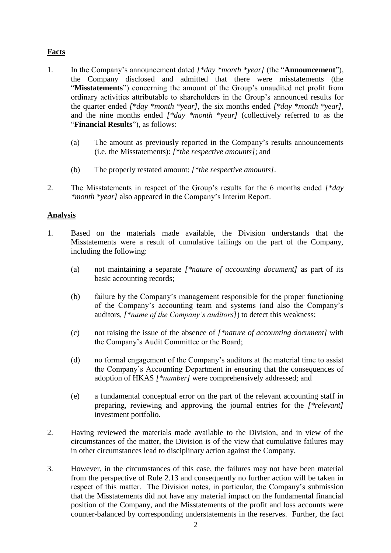# **Facts**

- 1. In the Company's announcement dated *[\*day \*month \*year]* (the "**Announcement**"), the Company disclosed and admitted that there were misstatements (the "**Misstatements**") concerning the amount of the Group's unaudited net profit from ordinary activities attributable to shareholders in the Group's announced results for the quarter ended *[\*day \*month \*year]*, the six months ended *[\*day \*month \*year]*, and the nine months ended *[\*day \*month \*year]* (collectively referred to as the "**Financial Results**"), as follows:
	- (a) The amount as previously reported in the Company's results announcements (i.e. the Misstatements): *[\*the respective amounts]*; and
	- (b) The properly restated amount: *[\*the respective amounts]*.
- 2. The Misstatements in respect of the Group's results for the 6 months ended *[\*day \*month \*year]* also appeared in the Company's Interim Report.

## **Analysis**

- 1. Based on the materials made available, the Division understands that the Misstatements were a result of cumulative failings on the part of the Company, including the following:
	- (a) not maintaining a separate *[\*nature of accounting document]* as part of its basic accounting records;
	- (b) failure by the Company's management responsible for the proper functioning of the Company's accounting team and systems (and also the Company's auditors, *[\*name of the Company's auditors]*) to detect this weakness;
	- (c) not raising the issue of the absence of *[\*nature of accounting document]* with the Company's Audit Committee or the Board;
	- (d) no formal engagement of the Company's auditors at the material time to assist the Company's Accounting Department in ensuring that the consequences of adoption of HKAS *[\*number]* were comprehensively addressed; and
	- (e) a fundamental conceptual error on the part of the relevant accounting staff in preparing, reviewing and approving the journal entries for the *[\*relevant]*  investment portfolio.
- 2. Having reviewed the materials made available to the Division, and in view of the circumstances of the matter, the Division is of the view that cumulative failures may in other circumstances lead to disciplinary action against the Company.
- 3. However, in the circumstances of this case, the failures may not have been material from the perspective of Rule 2.13 and consequently no further action will be taken in respect of this matter. The Division notes, in particular, the Company's submission that the Misstatements did not have any material impact on the fundamental financial position of the Company, and the Misstatements of the profit and loss accounts were counter-balanced by corresponding understatements in the reserves. Further, the fact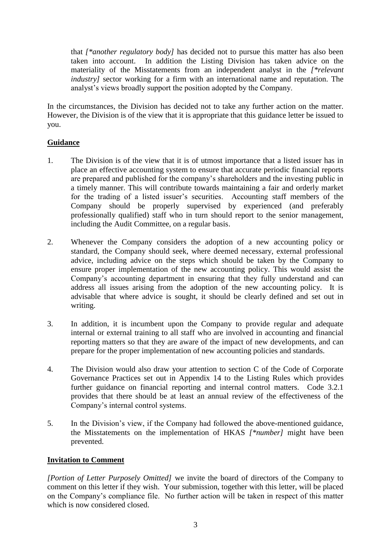that *[\*another regulatory body]* has decided not to pursue this matter has also been taken into account. In addition the Listing Division has taken advice on the materiality of the Misstatements from an independent analyst in the *[\*relevant industry]* sector working for a firm with an international name and reputation. The analyst's views broadly support the position adopted by the Company.

In the circumstances, the Division has decided not to take any further action on the matter. However, the Division is of the view that it is appropriate that this guidance letter be issued to you.

# **Guidance**

- 1. The Division is of the view that it is of utmost importance that a listed issuer has in place an effective accounting system to ensure that accurate periodic financial reports are prepared and published for the company's shareholders and the investing public in a timely manner. This will contribute towards maintaining a fair and orderly market for the trading of a listed issuer's securities. Accounting staff members of the Company should be properly supervised by experienced (and preferably professionally qualified) staff who in turn should report to the senior management, including the Audit Committee, on a regular basis.
- 2. Whenever the Company considers the adoption of a new accounting policy or standard, the Company should seek, where deemed necessary, external professional advice, including advice on the steps which should be taken by the Company to ensure proper implementation of the new accounting policy. This would assist the Company's accounting department in ensuring that they fully understand and can address all issues arising from the adoption of the new accounting policy. It is advisable that where advice is sought, it should be clearly defined and set out in writing.
- 3. In addition, it is incumbent upon the Company to provide regular and adequate internal or external training to all staff who are involved in accounting and financial reporting matters so that they are aware of the impact of new developments, and can prepare for the proper implementation of new accounting policies and standards.
- 4. The Division would also draw your attention to section C of the Code of Corporate Governance Practices set out in Appendix 14 to the Listing Rules which provides further guidance on financial reporting and internal control matters. Code 3.2.1 provides that there should be at least an annual review of the effectiveness of the Company's internal control systems.
- 5. In the Division's view, if the Company had followed the above-mentioned guidance, the Misstatements on the implementation of HKAS *[\*number]* might have been prevented.

## **Invitation to Comment**

*[Portion of Letter Purposely Omitted]* we invite the board of directors of the Company to comment on this letter if they wish. Your submission, together with this letter, will be placed on the Company's compliance file. No further action will be taken in respect of this matter which is now considered closed.